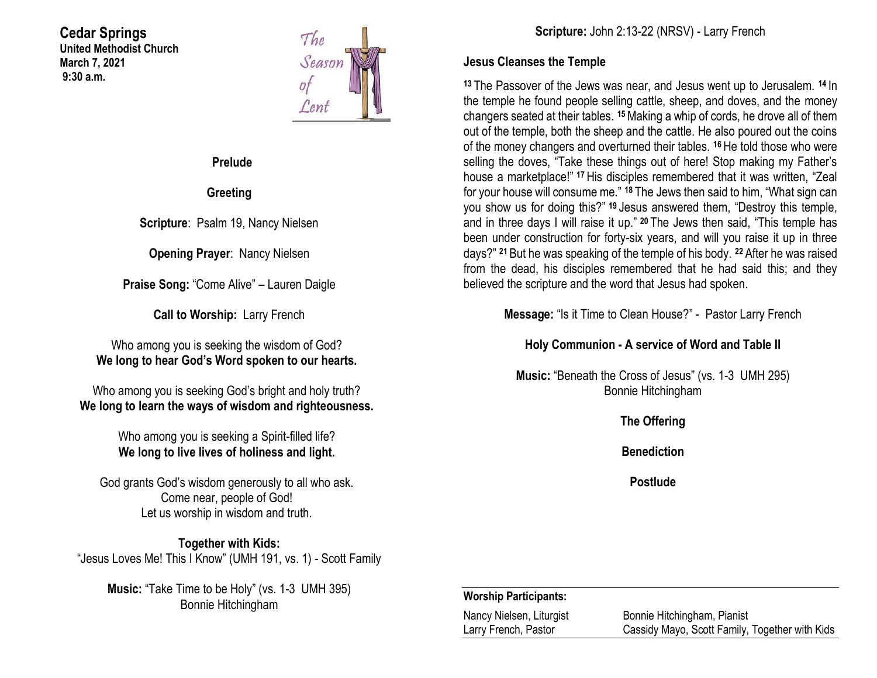### **Cedar Springs United Methodist Church March 7, 2021 9:30 a.m.**



**Prelude**

**Greeting**

**Scripture**: Psalm 19, Nancy Nielsen

**Opening Prayer**: Nancy Nielsen

**Praise Song:** "Come Alive" – Lauren Daigle

**Call to Worship:** Larry French

Who among you is seeking the wisdom of God? **We long to hear God's Word spoken to our hearts.**

Who among you is seeking God's bright and holy truth? **We long to learn the ways of wisdom and righteousness.**

> Who among you is seeking a Spirit-filled life? **We long to live lives of holiness and light.**

God grants God's wisdom generously to all who ask. Come near, people of God! Let us worship in wisdom and truth.

**Together with Kids:** "Jesus Loves Me! This I Know" (UMH 191, vs. 1) - Scott Family

**Music:** "Take Time to be Holy" (vs. 1-3 UMH 395) Bonnie Hitchingham

### **Jesus Cleanses the Temple**

**<sup>13</sup>** The Passover of the Jews was near, and Jesus went up to Jerusalem. **<sup>14</sup>** In the temple he found people selling cattle, sheep, and doves, and the money changers seated at their tables. **<sup>15</sup>**Making a whip of cords, he drove all of them out of the temple, both the sheep and the cattle. He also poured out the coins of the money changers and overturned their tables. **<sup>16</sup>** He told those who were selling the doves, "Take these things out of here! Stop making my Father's house a marketplace!" **<sup>17</sup>** His disciples remembered that it was written, "Zeal for your house will consume me." **<sup>18</sup>** The Jews then said to him, "What sign can you show us for doing this?" **<sup>19</sup>** Jesus answered them, "Destroy this temple, and in three days I will raise it up." **<sup>20</sup>** The Jews then said, "This temple has been under construction for forty-six years, and will you raise it up in three days?" **<sup>21</sup>** But he was speaking of the temple of his body. **<sup>22</sup>** After he was raised from the dead, his disciples remembered that he had said this; and they believed the scripture and the word that Jesus had spoken.

**Message:** "Is it Time to Clean House?" - Pastor Larry French

## **Holy Communion - A service of Word and Table II**

**Music:** "Beneath the Cross of Jesus" (vs. 1-3 UMH 295) Bonnie Hitchingham

**The Offering**

**Benediction**

**Postlude**

## **Worship Participants:**

| Nancy Nielsen, Liturgist | Bonnie Hitchingham, Pianist                    |
|--------------------------|------------------------------------------------|
| Larry French, Pastor     | Cassidy Mayo, Scott Family, Together with Kids |